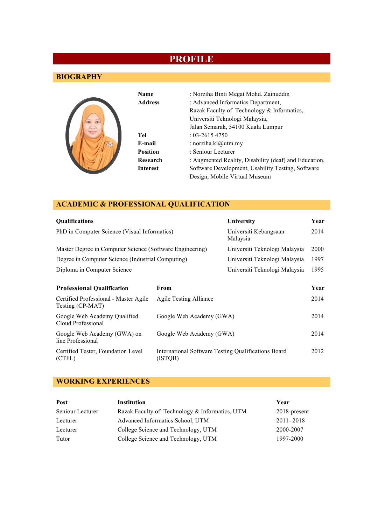# **PROFILE**

## **BIOGRAPHY**

|  | Name            | : Norziha Binti Megat Mohd. Zainuddin                 |
|--|-----------------|-------------------------------------------------------|
|  | <b>Address</b>  | : Advanced Informatics Department,                    |
|  |                 | Razak Faculty of Technology & Informatics,            |
|  |                 | Universiti Teknologi Malaysia,                        |
|  |                 | Jalan Semarak, 54100 Kuala Lumpur                     |
|  | Tel             | $: 03 - 26154750$                                     |
|  | E-mail          | : norziha.kl@utm.my                                   |
|  | <b>Position</b> | : Seniour Lecturer                                    |
|  | Research        | : Augmented Reality, Disability (deaf) and Education, |
|  | <b>Interest</b> | Software Development, Usability Testing, Software     |
|  |                 | Design, Mobile Virtual Museum                         |

## **ACADEMIC & PROFESSIONAL QUALIFICATION**

| <b>Qualifications</b>                                     |                                   | University                                          | Year |
|-----------------------------------------------------------|-----------------------------------|-----------------------------------------------------|------|
| PhD in Computer Science (Visual Informatics)              | Universiti Kebangsaan<br>Malaysia | 2014                                                |      |
| Master Degree in Computer Science (Software Engineering)  |                                   | Universiti Teknologi Malaysia                       | 2000 |
| Degree in Computer Science (Industrial Computing)         |                                   | Universiti Teknologi Malaysia                       |      |
| Diploma in Computer Science                               |                                   | Universiti Teknologi Malaysia                       | 1995 |
|                                                           |                                   |                                                     |      |
| <b>Professional Qualification</b>                         | From                              |                                                     | Year |
| Certified Professional - Master Agile<br>Testing (CP-MAT) | <b>Agile Testing Alliance</b>     |                                                     | 2014 |
| Google Web Academy Qualified<br>Cloud Professional        | Google Web Academy (GWA)          |                                                     | 2014 |
| Google Web Academy (GWA) on<br>line Professional          | Google Web Academy (GWA)          |                                                     | 2014 |
| Certified Tester, Foundation Level<br>(CTFL)<br>(ISTQB)   |                                   | International Software Testing Qualifications Board | 2012 |

## **WORKING EXPERIENCES**

| Post             | Institution                                    | Year         |
|------------------|------------------------------------------------|--------------|
| Seniour Lecturer | Razak Faculty of Technology & Informatics, UTM | 2018-present |
| Lecturer         | Advanced Informatics School, UTM               | 2011-2018    |
| Lecturer         | College Science and Technology, UTM            | 2000-2007    |
| Tutor            | College Science and Technology, UTM            | 1997-2000    |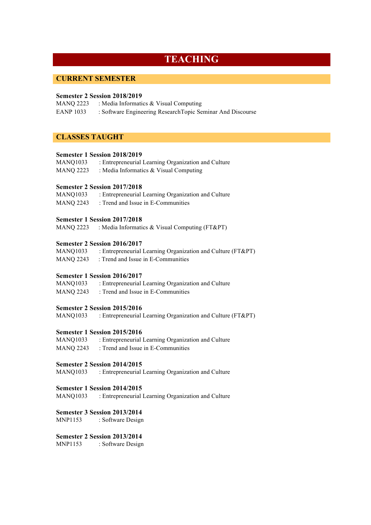# **TEACHING**

## **CURRENT SEMESTER**

#### **Semester 2 Session 2018/2019**

| <b>MANQ 2223</b> | : Media Informatics $& Visual Computing$                   |
|------------------|------------------------------------------------------------|
| <b>EANP 1033</b> | : Software Engineering ResearchTopic Seminar And Discourse |

## **CLASSES TAUGHT**

#### **Semester 1 Session 2018/2019**

| <b>MANO1033</b> | : Entrepreneurial Learning Organization and Culture |
|-----------------|-----------------------------------------------------|
| MANO 2223       | : Media Informatics $& Visual Computing$            |

#### **Semester 2 Session 2017/2018**

| MANQ1033         | : Entrepreneurial Learning Organization and Culture |
|------------------|-----------------------------------------------------|
| <b>MANQ 2243</b> | : Trend and Issue in E-Communities                  |

#### **Semester 1 Session 2017/2018**

MANQ 2223 : Media Informatics & Visual Computing (FT&PT)

#### **Semester 2 Session 2016/2017**

| MANQ1033         | : Entrepreneurial Learning Organization and Culture $(FT&PT)$ |
|------------------|---------------------------------------------------------------|
| <b>MANQ 2243</b> | : Trend and Issue in E-Communities                            |

#### **Semester 1 Session 2016/2017**

MANQ1033 : Entrepreneurial Learning Organization and Culture

MANO 2243 : Trend and Issue in E-Communities

#### **Semester 2 Session 2015/2016**

MANQ1033 : Entrepreneurial Learning Organization and Culture (FT&PT)

#### **Semester 1 Session 2015/2016**

MANQ1033 : Entrepreneurial Learning Organization and Culture

MANQ 2243 : Trend and Issue in E-Communities

## **Semester 2 Session 2014/2015**

MANQ1033 : Entrepreneurial Learning Organization and Culture

#### **Semester 1 Session 2014/2015**

MANQ1033 : Entrepreneurial Learning Organization and Culture

## **Semester 3 Session 2013/2014**

MNP1153 : Software Design

## **Semester 2 Session 2013/2014**

MNP1153 : Software Design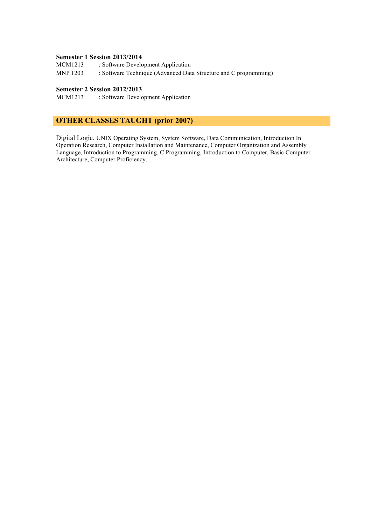#### **Semester 1 Session 2013/2014**

| MCM1213  | : Software Development Application                               |
|----------|------------------------------------------------------------------|
| MNP 1203 | : Software Technique (Advanced Data Structure and C programming) |

## **Semester 2 Session 2012/2013**

MCM1213 : Software Development Application

## **OTHER CLASSES TAUGHT (prior 2007)**

Digital Logic, UNIX Operating System, System Software, Data Communication, Introduction In Operation Research, Computer Installation and Maintenance, Computer Organization and Assembly Language, Introduction to Programming, C Programming, Introduction to Computer, Basic Computer Architecture, Computer Proficiency.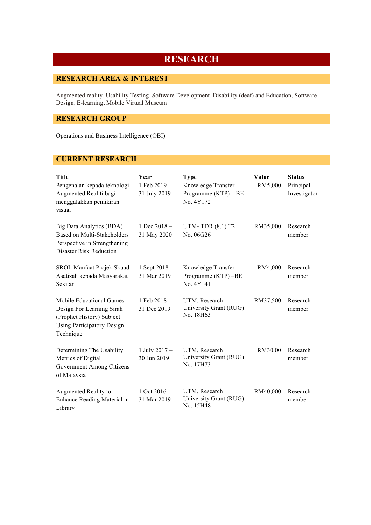# **RESEARCH**

## **RESEARCH AREA & INTEREST**

Augmented reality, Usability Testing, Software Development, Disability (deaf) and Education, Software Design, E-learning, Mobile Virtual Museum

## **RESEARCH GROUP**

Operations and Business Intelligence (OBI)

## **CURRENT RESEARCH**

| <b>Title</b><br>Pengenalan kepada teknologi<br>Augmented Realiti bagi<br>menggalakkan pemikiran<br>visual                                   | Year<br>1 Feb 2019 -<br>31 July 2019 | <b>Type</b><br>Knowledge Transfer<br>Programme $(KTP) - BE$<br>No. 4Y172 | Value<br>RM5,000 | <b>Status</b><br>Principal<br>Investigator |
|---------------------------------------------------------------------------------------------------------------------------------------------|--------------------------------------|--------------------------------------------------------------------------|------------------|--------------------------------------------|
| Big Data Analytics (BDA)<br>Based on Multi-Stakeholders<br>Perspective in Strengthening<br><b>Disaster Risk Reduction</b>                   | 1 Dec $2018 -$<br>31 May 2020        | <b>UTM-TDR (8.1) T2</b><br>No. 06G26                                     | RM35,000         | Research<br>member                         |
| SROI: Manfaat Projek Skuad<br>Asatizah kepada Masyarakat<br>Sekitar                                                                         | 1 Sept 2018-<br>31 Mar 2019          | Knowledge Transfer<br>Programme (KTP) -BE<br>No. 4Y141                   | RM4,000          | Research<br>member                         |
| <b>Mobile Educational Games</b><br>Design For Learning Sirah<br>(Prophet History) Subject<br><b>Using Participatory Design</b><br>Technique | 1 Feb 2018-<br>31 Dec 2019           | UTM, Research<br>University Grant (RUG)<br>No. 18H63                     | RM37,500         | Research<br>member                         |
| Determining The Usability<br>Metrics of Digital<br>Government Among Citizens<br>of Malaysia                                                 | 1 July 2017 -<br>30 Jun 2019         | UTM, Research<br>University Grant (RUG)<br>No. 17H73                     | RM30,00          | Research<br>member                         |
| Augmented Reality to<br>Enhance Reading Material in<br>Library                                                                              | 1 Oct $2016 -$<br>31 Mar 2019        | UTM, Research<br>University Grant (RUG)<br>No. 15H48                     | RM40,000         | Research<br>member                         |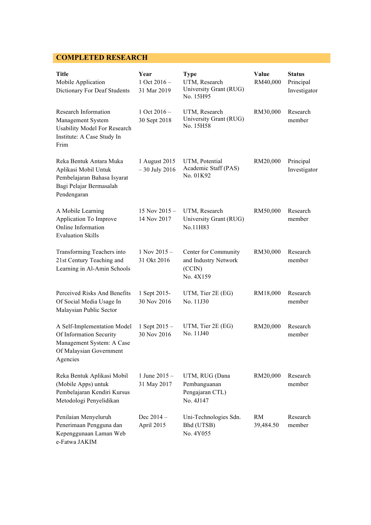## **COMPLETED RESEARCH**

| <b>Title</b><br>Mobile Application<br>Dictionary For Deaf Students                                                         | Year<br>1 Oct $2016 -$<br>31 Mar 2019 | <b>Type</b><br>UTM, Research<br>University Grant (RUG)<br>No. 15H95 | Value<br>RM40,000      | <b>Status</b><br>Principal<br>Investigator |
|----------------------------------------------------------------------------------------------------------------------------|---------------------------------------|---------------------------------------------------------------------|------------------------|--------------------------------------------|
| Research Information<br>Management System<br><b>Usability Model For Research</b><br>Institute: A Case Study In<br>Frim     | 1 Oct $2016 -$<br>30 Sept 2018        | UTM, Research<br>University Grant (RUG)<br>No. 15H58                | RM30,000               | Research<br>member                         |
| Reka Bentuk Antara Muka<br>Aplikasi Mobil Untuk<br>Pembelajaran Bahasa Isyarat<br>Bagi Pelajar Bermasalah<br>Pendengaran   | 1 August 2015<br>$-30$ July 2016      | UTM, Potential<br>Academic Staff (PAS)<br>No. 01K92                 | RM20,000               | Principal<br>Investigator                  |
| A Mobile Learning<br>Application To Improve<br>Online Information<br><b>Evaluation Skills</b>                              | 15 Nov $2015 -$<br>14 Nov 2017        | UTM, Research<br>University Grant (RUG)<br>No.11H83                 | RM50,000               | Research<br>member                         |
| Transforming Teachers into<br>21st Century Teaching and<br>Learning in Al-Amin Schools                                     | 1 Nov $2015 -$<br>31 Okt 2016         | Center for Community<br>and Industry Network<br>(CCIN)<br>No. 4X159 | RM30,000               | Research<br>member                         |
| Perceived Risks And Benefits<br>Of Social Media Usage In<br>Malaysian Public Sector                                        | 1 Sept 2015-<br>30 Nov 2016           | UTM, Tier 2E (EG)<br>No. 11J30                                      | RM18,000               | Research<br>member                         |
| A Self-Implementation Model<br>Of Information Security<br>Management System: A Case<br>Of Malaysian Government<br>Agencies | 1 Sept $2015 -$<br>30 Nov 2016        | UTM, Tier 2E (EG)<br>No. 11J40                                      | RM20,000               | Research<br>member                         |
| Reka Bentuk Aplikasi Mobil<br>(Mobile Apps) untuk<br>Pembelajaran Kendiri Kursus<br>Metodologi Penyelidikan                | 1 June $2015 -$<br>31 May 2017        | UTM, RUG (Dana<br>Pembanguanan<br>Pengajaran CTL)<br>No. 4J147      | RM20,000               | Research<br>member                         |
| Penilaian Menyeluruh<br>Penerimaan Pengguna dan<br>Kepenggunaan Laman Web<br>e-Fatwa JAKIM                                 | Dec $2014 -$<br>April 2015            | Uni-Technologies Sdn.<br>Bhd (UTSB)<br>No. 4Y055                    | <b>RM</b><br>39,484.50 | Research<br>member                         |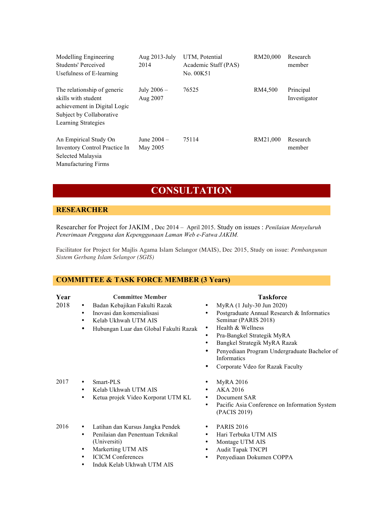| Modelling Engineering<br>Students' Perceived<br>Usefulness of E-learning                                                              | Aug 2013-July<br>2014     | UTM, Potential<br>Academic Staff (PAS)<br>No. 00K51 | RM20,000 | Research<br>member        |
|---------------------------------------------------------------------------------------------------------------------------------------|---------------------------|-----------------------------------------------------|----------|---------------------------|
| The relationship of generic<br>skills with student<br>achievement in Digital Logic<br>Subject by Collaborative<br>Learning Strategies | July 2006 –<br>Aug 2007   | 76525                                               | RM4,500  | Principal<br>Investigator |
| An Empirical Study On<br><b>Inventory Control Practice In</b><br>Selected Malaysia<br><b>Manufacturing Firms</b>                      | June $2004 -$<br>May 2005 | 75114                                               | RM21,000 | Research<br>member        |

# **CONSULTATION**

## **RESEARCHER**

Researcher for Project for JAKIM , Dec 2014 – April 2015. Study on issues : *Penilaian Menyeluruh Penerimaan Pengguna dan Kepenggunaan Laman Web e-Fatwa JAKIM.*

Facilitator for Project for Majlis Agama Islam Selangor (MAIS), Dec 2015, Study on issue: *Pembangunan Sistem Gerbang Islam Selangor (SGIS)* 

## **COMMITTEE & TASK FORCE MEMBER (3 Years)**

| Year | <b>Committee Member</b>                |   | <b>Taskforce</b>             |
|------|----------------------------------------|---|------------------------------|
| 2018 | Badan Kebajikan Fakulti Razak          |   | MyRA (1 July-30 Jun 2020)    |
|      | Inovasi dan komersialisasi<br>٠        |   | Postgraduate Annual Researd  |
|      | Kelab Ukhwah UTM AIS                   |   | Seminar (PARIS 2018)         |
|      | Hubungan Luar dan Global Fakulti Razak | ٠ | Health & Wellness            |
|      |                                        | ٠ | Pra-Bangkel Strategik MyRA   |
|      |                                        |   | Bangkel Strategik MyRA Ra    |
|      |                                        |   | Penyediaan Program Underg    |
|      |                                        |   | Informatics                  |
|      |                                        |   | Corporate Vdeo for Razak Fa  |
| 2017 | Smart-PLS                              |   | <b>MyRA 2016</b>             |
|      | Kelab Ukhwah UTM AIS                   |   | <b>AKA 2016</b>              |
|      | Ketua projek Video Korporat UTM KL     |   | Document SAR                 |
|      |                                        | ٠ | Pacific Asia Conference on I |
|      |                                        |   | (PACIS 2019)                 |
| 2016 | Latihan dan Kursus Jangka Pendek       |   | <b>PARIS 2016</b>            |
|      | Penilaian dan Penentuan Teknikal       |   | Hari Terbuka UTM AIS         |
|      | (Universiti)                           | ٠ | Montage UTM AIS              |
|      | Markerting UTM AIS                     |   | <b>Audit Tapak TNCPI</b>     |
|      | <b>ICICM Conferences</b>               |   | Penyediaan Dokumen COPP      |
|      | Induk Kelab Ukhwah UTM AIS             |   |                              |
|      |                                        |   |                              |

- $(y-30 \text{ Jun } 2020)$
- Annual Research & Informatics RIS 2018)
- llness<sup></sup>
- Strategik MyRA
- tegik MyRA Razak
- Program Undergraduate Bachelor of
- deo for Razak Faculty
- $AR$
- Conference on Information System (PACIS 2019)
- UTM AIS
- $M$  AIS
- TNCPI
- **Dokumen COPPA**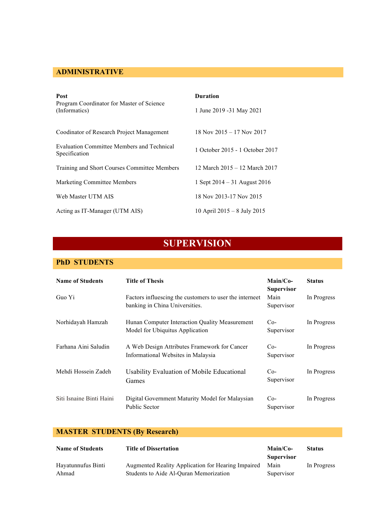## **ADMINISTRATIVE**

| <b>Post</b><br>Program Coordinator for Master of Science    | <b>Duration</b>                  |  |  |
|-------------------------------------------------------------|----------------------------------|--|--|
| (Informatics)                                               | 1 June 2019 -31 May 2021         |  |  |
| Coodinator of Research Project Management                   | $18$ Nov $2015 - 17$ Nov $2017$  |  |  |
| Evaluation Committee Members and Technical<br>Specification | 1 October 2015 - 1 October 2017  |  |  |
| Training and Short Courses Committee Members                | 12 March 2015 - 12 March 2017    |  |  |
| Marketing Committee Members                                 | 1 Sept $2014 - 31$ August $2016$ |  |  |
| Web Master UTM AIS                                          | 18 Nov 2013-17 Nov 2015          |  |  |
| Acting as IT-Manager (UTM AIS)                              | 10 April $2015 - 8$ July 2015    |  |  |

# **SUPERVISION**

## **PhD STUDENTS**

| <b>Name of Students</b>  | <b>Title of Thesis</b>                                                                    | $Main/Co-$<br><b>Supervisor</b> | <b>Status</b> |
|--------------------------|-------------------------------------------------------------------------------------------|---------------------------------|---------------|
| Guo Yi                   | Factors influescing the customers to user the interneet<br>banking in China Universities. | Main<br>Supervisor              | In Progress   |
| Norhidayah Hamzah        | Hunan Computer Interaction Quality Measurement<br>Model for Ubiquitus Application         | $Co-$<br>Supervisor             | In Progress   |
| Farhana Aini Saludin     | A Web Design Attributes Framework for Cancer<br>Informational Websites in Malaysia        | $Co-$<br>Supervisor             | In Progress   |
| Mehdi Hossein Zadeh      | Usability Evaluation of Mobile Educational<br>Games                                       | $Co-$<br>Supervisor             | In Progress   |
| Siti Isnaine Binti Haini | Digital Government Maturity Model for Malaysian<br><b>Public Sector</b>                   | $Co-$<br>Supervisor             | In Progress   |

## **MASTER STUDENTS (By Research)**

| <b>Name of Students</b> | <b>Title of Dissertation</b>                       | $Main/Co-$        | <b>Status</b> |
|-------------------------|----------------------------------------------------|-------------------|---------------|
|                         |                                                    | <b>Supervisor</b> |               |
| Havatunnufus Binti      | Augmented Reality Application for Hearing Impaired | Main              | In Progress   |
| Ahmad                   | Students to Aide Al-Quran Memorization             | Supervisor        |               |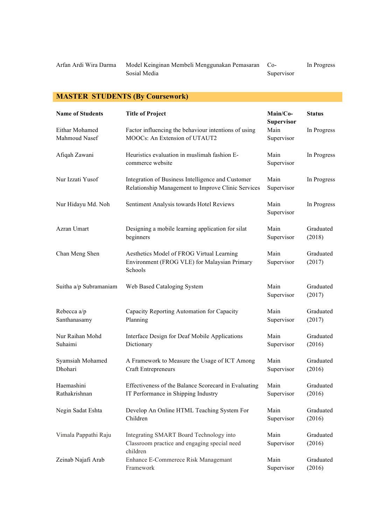Arfan Ardi Wira Darma Model Keinginan Membeli Menggunakan Pemasaran Sosial Media Co-Supervisor In Progress

## **MASTER STUDENTS (By Coursework)**

| <b>Name of Students</b> | <b>Title of Project</b>                                                                                 | Main/Co-<br>Supervisor | <b>Status</b>       |
|-------------------------|---------------------------------------------------------------------------------------------------------|------------------------|---------------------|
| Eithar Mohamed          | Factor influencing the behaviour intentions of using                                                    | Main                   | In Progress         |
| Mahmoud Nasef           | MOOCs: An Extension of UTAUT2                                                                           | Supervisor             |                     |
| Afiqah Zawani           | Heuristics evaluation in muslimah fashion E-<br>commerce website                                        | Main<br>Supervisor     | In Progress         |
| Nur Izzati Yusof        | Integration of Business Intelligence and Customer<br>Relationship Management to Improve Clinic Services | Main<br>Supervisor     | In Progress         |
| Nur Hidayu Md. Noh      | Sentiment Analysis towards Hotel Reviews                                                                | Main<br>Supervisor     | In Progress         |
| Azran Umart             | Designing a mobile learning application for silat                                                       | Main                   | Graduated           |
|                         | beginners                                                                                               | Supervisor             | (2018)              |
| Chan Meng Shen          | Aesthetics Model of FROG Virtual Learning<br>Environment (FROG VLE) for Malaysian Primary<br>Schools    | Main<br>Supervisor     | Graduated<br>(2017) |
| Suitha a/p Subramaniam  | Web Based Cataloging System                                                                             | Main<br>Supervisor     | Graduated<br>(2017) |
| Rebecca a/p             | Capacity Reporting Automation for Capacity                                                              | Main                   | Graduated           |
| Santhanasamy            | Planning                                                                                                | Supervisor             | (2017)              |
| Nur Raihan Mohd         | Interface Design for Deaf Mobile Applications                                                           | Main                   | Graduated           |
| Suhaimi                 | Dictionary                                                                                              | Supervisor             | (2016)              |
| Syamsiah Mohamed        | A Framework to Measure the Usage of ICT Among                                                           | Main                   | Graduated           |
| Dhohari                 | Craft Entrepreneurs                                                                                     | Supervisor             | (2016)              |
| Haemashini              | Effectiveness of the Balance Scorecard in Evaluating                                                    | Main                   | Graduated           |
| Rathakrishnan           | IT Performance in Shipping Industry                                                                     | Supervisor             | (2016)              |
| Negin Sadat Eshta       | Develop An Online HTML Teaching System For                                                              | Main                   | Graduated           |
|                         | Children                                                                                                | Supervisor             | (2016)              |
| Vimala Pappathi Raju    | Integrating SMART Board Technology into<br>Classroom practice and engaging special need<br>children     | Main<br>Supervisor     | Graduated<br>(2016) |
| Zeinab Najafi Arab      | Enhance E-Commerece Risk Managemant                                                                     | Main                   | Graduated           |
|                         | Framework                                                                                               | Supervisor             | (2016)              |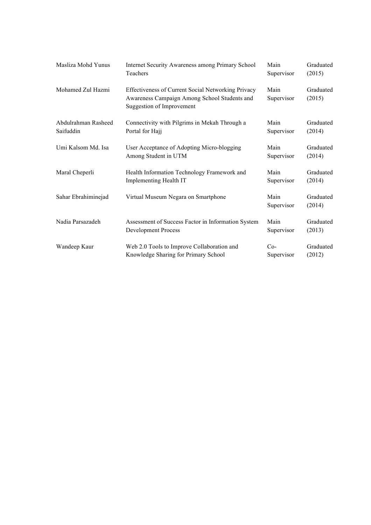| Masliza Mohd Yunus  | Internet Security Awareness among Primary School                                                                                       | Main               | Graduated           |
|---------------------|----------------------------------------------------------------------------------------------------------------------------------------|--------------------|---------------------|
|                     | Teachers                                                                                                                               | Supervisor         | (2015)              |
| Mohamed Zul Hazmi   | Effectiveness of Current Social Networking Privacy<br>Awareness Campaign Among School Students and<br><b>Suggestion of Improvement</b> | Main<br>Supervisor | Graduated<br>(2015) |
| Abdulrahman Rasheed | Connectivity with Pilgrims in Mekah Through a                                                                                          | Main               | Graduated           |
| Saifuddin           | Portal for Hajj                                                                                                                        | Supervisor         | (2014)              |
| Umi Kalsom Md. Isa  | User Acceptance of Adopting Micro-blogging                                                                                             | Main               | Graduated           |
|                     | Among Student in UTM                                                                                                                   | Supervisor         | (2014)              |
| Maral Cheperli      | Health Information Technology Framework and                                                                                            | Main               | Graduated           |
|                     | Implementing Health IT                                                                                                                 | Supervisor         | (2014)              |
| Sahar Ebrahiminejad | Virtual Museum Negara on Smartphone                                                                                                    | Main<br>Supervisor | Graduated<br>(2014) |
| Nadia Parsazadeh    | Assessment of Success Factor in Information System                                                                                     | Main               | Graduated           |
|                     | <b>Development Process</b>                                                                                                             | Supervisor         | (2013)              |
| Wandeep Kaur        | Web 2.0 Tools to Improve Collaboration and                                                                                             | $Co-$              | Graduated           |
|                     | Knowledge Sharing for Primary School                                                                                                   | Supervisor         | (2012)              |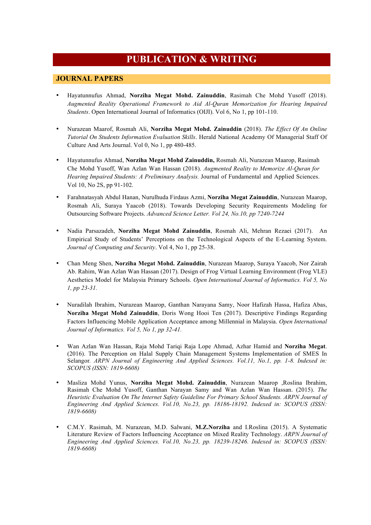# **PUBLICATION & WRITING**

## **JOURNAL PAPERS**

- Hayatunnufus Ahmad, **Norziha Megat Mohd. Zainuddin**, Rasimah Che Mohd Yusoff (2018). *Augmented Reality Operational Framework to Aid Al-Quran Memorization for Hearing Impaired Students*. Open International Journal of Informatics (OIJI). Vol 6, No 1, pp 101-110.
- Nurazean Maarof, Rosmah Ali, **Norziha Megat Mohd. Zainuddin** (2018). *The Effect Of An Online Tutorial On Students Information Evaluation Skills*. Herald National Academy Of Managerial Staff Of Culture And Arts Journal. Vol 0, No 1, pp 480-485.
- Hayatunnufus Ahmad, **Norziha Megat Mohd Zainuddin,** Rosmah Ali, Nurazean Maarop, Rasimah Che Mohd Yusoff, Wan Azlan Wan Hassan (2018). *Augmented Reality to Memorize Al-Quran for Hearing Impaired Students: A Preliminary Analysis.* Journal of Fundamental and Applied Sciences. Vol 10, No 2S, pp 91-102.
- Farahnatasyah Abdul Hanan, Nurulhuda Firdaus Azmi, **Norziha Megat Zainuddin**, Nurazean Maarop, Rosmah Ali, Suraya Yaacob (2018). Towards Developing Security Requirements Modeling for Outsourcing Software Projects. *Advanced Science Letter. Vol 24, No.10, pp 7240-7244*
- Nadia Parsazadeh, **Norziha Megat Mohd Zainuddin**, Rosmah Ali, Mehran Rezaei (2017). An Empirical Study of Students' Perceptions on the Technological Aspects of the E-Learning System. *Journal of Computing and Security*. Vol 4, No 1, pp 25-38.
- Chan Meng Shen, **Norziha Megat Mohd. Zainuddin**, Nurazean Maarop, Suraya Yaacob, Nor Zairah Ab. Rahim, Wan Azlan Wan Hassan (2017). Design of Frog Virtual Learning Environment (Frog VLE) Aesthetics Model for Malaysia Primary Schools. *Open International Journal of Informatics. Vol 5, No 1, pp 23-31.*
- Nuradilah Ibrahim, Nurazean Maarop, Ganthan Narayana Samy, Noor Hafizah Hassa, Hafiza Abas, **Norziha Megat Mohd Zainuddin**, Doris Wong Hooi Ten (2017). Descriptive Findings Regarding Factors Influencing Mobile Application Acceptance among Millennial in Malaysia. *Open International Journal of Informatics. Vol 5, No 1, pp 32-41.*
- Wan Azlan Wan Hassan, Raja Mohd Tariqi Raja Lope Ahmad, Azhar Hamid and **Norziha Megat**. (2016). The Perception on Halal Supply Chain Management Systems Implementation of SMES In Selangor*. ARPN Journal of Engineering And Applied Sciences. Vol.11, No.1, pp. 1-8. Indexed in: SCOPUS (ISSN: 1819-6608)*
- Masliza Mohd Yunus, **Norziha Megat Mohd. Zainuddin**, Nurazean Maarop ,Roslina Ibrahim, Rasimah Che Mohd Yusoff, Ganthan Narayan Samy and Wan Azlan Wan Hassan. (2015). *The Heuristic Evaluation On The Internet Safety Guideline For Primary School Students. ARPN Journal of Engineering And Applied Sciences. Vol.10, No.23, pp. 18186-18192. Indexed in: SCOPUS (ISSN: 1819-6608)*
- C.M.Y. Rasimah, M. Nurazean, M.D. Salwani, **M.Z.Norziha** and I.Roslina (2015). A Systematic Literature Review of Factors Influencing Acceptance on Mixed Reality Technology. *ARPN Journal of Engineering And Applied Sciences. Vol.10, No.23, pp. 18239-18246. Indexed in: SCOPUS (ISSN: 1819-6608)*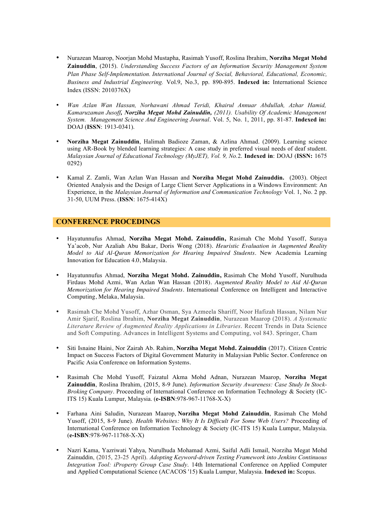- Nurazean Maarop, Noorjan Mohd Mustapha, Rasimah Yusoff, Roslina Ibrahim, **Norziha Megat Mohd Zainuddin**, (2015). *Understanding Success Factors of an Information Security Management System Plan Phase Self-Implementation. International Journal of Social, Behavioral, Educational, Economic, Business and Industrial Engineering.* Vol.9, No.3, pp. 890-895. **Indexed in:** International Science Index (ISSN: 2010376X)
- *Wan Azlan Wan Hassan, Norhawani Ahmad Teridi, Khairul Annuar Abdullah, Azhar Hamid, Kamaruzaman Jusoff, Norziha Megat Mohd Zainuddin, (2011). Usability Of Academic Management System. Management Science And Engineering Journal*. Vol. 5, No. 1, 2011, pp. 81-87. **Indexed in:**  DOAJ (**ISSN**: 1913-0341).
- **Norziha Megat Zainuddin**, Halimah Badioze Zaman, & Azlina Ahmad. (2009). Learning science using AR-Book by blended learning strategies: A case study in preferred visual needs of deaf student. *Malaysian Journal of Educational Technology (MyJET), Vol. 9, No.*2. **Indexed in**: DOAJ (**ISSN:** 1675 0292)
- Kamal Z. Zamli, Wan Azlan Wan Hassan and **Norziha Megat Mohd Zainuddin.** (2003). Object Oriented Analysis and the Design of Large Client Server Applications in a Windows Environment: An Experience, in the *Malaysian Journal of Information and Communication Technology* Vol. 1, No. 2 pp. 31-50, UUM Press. (**ISSN**: 1675-414X)

## **CONFERENCE PROCEDINGS**

- Hayatunnufus Ahmad, **Norziha Megat Mohd. Zainuddin,** Rasimah Che Mohd Yusoff, Suraya Ya'acob, Nur Azaliah Abu Bakar, Doris Wong (2018). *Heuristic Evaluation in Augmented Reality Model to Aid Al-Quran Memorization for Hearing Impaired Students*. New Academia Learning Innovation for Education 4.0, Malaysia.
- Hayatunnufus Ahmad, **Norziha Megat Mohd. Zainuddin,** Rasimah Che Mohd Yusoff, Nurulhuda Firdaus Mohd Azmi, Wan Azlan Wan Hassan (2018). *Augmented Reality Model to Aid Al-Quran Memorization for Hearing Impaired Students*. International Conference on Intelligent and Interactive Computing, Melaka, Malaysia.
- Rasimah Che Mohd Yusoff, Azhar Osman, Sya Azmeela Shariff, Noor Hafizah Hassan, Nilam Nur Amir Sjarif, Roslina Ibrahim, **Norziha Megat Zainuddin**, Nurazean Maarop (2018). *A Systematic Literature Review of Augmented Reality Applications in Libraries*. Recent Trends in Data Science and Soft Computing. Advances in Intelligent Systems and Computing, vol 843. Springer, Cham
- Siti Isnaine Haini, Nor Zairah Ab. Rahim, **Norziha Megat Mohd. Zainuddin** (2017). Citizen Centric Impact on Success Factors of Digital Government Maturity in Malaysian Public Sector. Conference on Pacific Asia Conference on Information Systems.
- Rasimah Che Mohd Yusoff, Faizatul Akma Mohd Adnan, Nurazean Maarop, **Norziha Megat Zainuddin**, Roslina Ibrahim, (2015, 8-9 June). *Information Security Awareness: Case Study In Stock-Broking Company*. Proceeding of International Conference on Information Technology & Society (IC-ITS 15) Kuala Lumpur, Malaysia. (**e-ISBN**:978-967-11768-X-X)
- Farhana Aini Saludin, Nurazean Maarop, **Norziha Megat Mohd Zainuddin**, Rasimah Che Mohd Yusoff, (2015, 8-9 June). *Health Websites: Why It Is Difficult For Some Web Users?* Proceeding of International Conference on Information Technology & Society (IC-ITS 15) Kuala Lumpur, Malaysia. (**e-ISBN**:978-967-11768-X-X)
- Nazri Kama, Yazriwati Yahya, Nurulhuda Mohamad Azmi, Saiful Adli Ismail, Norziha Megat Mohd Zainuddin, (2015, 23-25 April). *Adopting Keyword-driven Testing Framework into Jenkins Continuous Integration Tool: iProperty Group Case Study*. 14th International Conference on Applied Computer and Applied Computational Science (ACACOS '15) Kuala Lumpur, Malaysia. **Indexed in:** Scopus.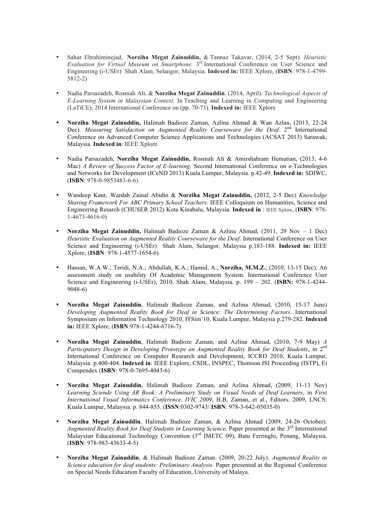- Sahar Ebrahiminejad, **Norziha Megat Zainuddin,** & Tannaz Takavar, (2014, 2-5 Sept). *Heuristic Evaluation for Virtual Museum on Smartphone.* 3<sup>rd</sup> International Conference on User Science and Engineering (i-USEr) Shah Alam, Selangor, Malaysia. **Indexed in:** IEEE Xplore, (**ISBN**: 978-1-4799- 5812-2)
- Nadia Parsazadeh, Rosmah Ali, & **Norziha Megat Zainuddin**. (2014, April). *Technological Aspects of E-Learning System in Malaysian Context.* In Teaching and Learning in Computing and Engineering (LaTiCE), 2014 International Conference on (pp. 70-73). **Indexed in:** IEEE Xplore
- **Norziha Megat Zainuddin,** Halimah Badioze Zaman, Azlina Ahmad & Wan Azlan, (2013, 22-24 Dec). *Measuring Satisfaction on Augmented Reality Courseware for the Deaf.* 2<sup>nd</sup> International Conference on Advanced Computer Science Applications and Technologies (ACSAT 2013) Sarawak, Malaysia. **Indexed in**: IEEE Xplore
- Nadia Parsazadeh, **Norziha Megat Zainuddin,** Rosmah Ali & Amirshahram Hematian, (2013, 4-6 Mac) *A Review of Success Factor of E-learning*. Second International Conference on e-Technologies and Networks for Development (ICeND 2013) Kuala Lumpur, Malaysia. p.42-49. **Indexed in:** SDIWC, (**ISBN**: 978-0-9853483-6-6)
- Wandeep Kaur, Wardah Zainal Abidin & **Norziha Megat Zainuddin,** (2012, 2-5 Dec) *Knowledge Sharing Framework For ABC Primary School Teachers.* IEEE Colloquium on Humanities, Science and Engineering Resarch (CHUSER 2012) Kota Kinabalu, Malaysia. **Indexed in** : IEEE Xplore, (**ISBN**: 978- 1-4673-4616-0)
- **Norziha Megat Zainuddin,** Halimah Badioze Zaman & Azlina Ahmad, (2011, 29 Nov 1 Dec) *Heuristic Evaluation on Augmented Reality Courseware for the Deaf*. International Conference on User Science and Engineering (i-USEr) Shah Alam, Selangor, Malaysia p.183-188. **Indexed in:** IEEE Xplore, (**ISBN**: 978-1-4577-1654-6)
- Hassan, W.A.W.; Teridi, N.A.; Abdullah, K.A.; Hamid, A.; **Norziha, M.M.Z.**; (2010, 13-15 Dec). An assessment study on usability Of Academic Management System. International Conference User Science and Engineering (i-USEr), 2010, Shah Alam, Malaysia. p. 199 – 202. (**ISBN:** 978-1-4244- 9048-6)
- **Norziha Megat Zainuddin**, Halimah Badioze Zaman, and Azlina Ahmad, (2010, 15-17 June) *Developing Augmented Reality Book for Deaf in Science: The Determining Factors*. International Symposium on Information Technology 2010, ITSim'10, Kuala Lumpur, Malaysia p.279-282. **Indexed in:** IEEE Xplore, (**ISBN**:978-1-4244-6716-7)
- **Norziha Megat Zainuddin**, Halimah Badioze Zaman, and Azlina Ahmad, (2010, 7-9 May) *A Participatory Design in Developing Prototype an Augmented Reality Book for Deaf Students*, in 2nd International Conference on Computer Research and Development, ICCRD 2010, Kuala Lumpur, Malaysia. p.400-404. **Indexed in**: IEEE Explore, CSDL, INSPEC, Thomson ISI Proceeding (ISTP), Ei Compendex (**ISBN**: 978-0-7695-4043-6)
- **Norziha Megat Zainuddin**, Halimah Badioze Zaman, and Azlina Ahmad, (2009, 11-13 Nov) *Learning Sciende Using AR Book: A Preliminary Study on Visual Needs of Deaf Learners*, in *First International Visual Informatics Conference, IVIC 2009*, H.B. Zaman, et al., Editors. 2009, LNCS: Kuala Lumpur, Malaysia. p. 844-855. (**ISSN**:0302-9743/ **ISBN**: 978-3-642-05035-0)
- **Norziha Megat Zainuddin**, Halimah Badioze Zaman, & Azlina Ahmad (2009, 24-26 October). Augmented Reality Book for Deaf Students in Learning Science, Paper presented at the 3<sup>rd</sup> International Malaysian Educational Technology Convention (3rd IMETC 09), Batu Ferringhi, Penang, Malaysia. (**ISBN**: 978-983-43633-4-5)
- **Norziha Megat Zainuddin**, & Halimah Badioze Zaman. (2009, 20-22 July). *Augmented Reality in Science education for deaf students: Preliminary Analysis.* Paper presented at the Regional Conference on Special Needs Education Faculty of Education, University of Malaya.